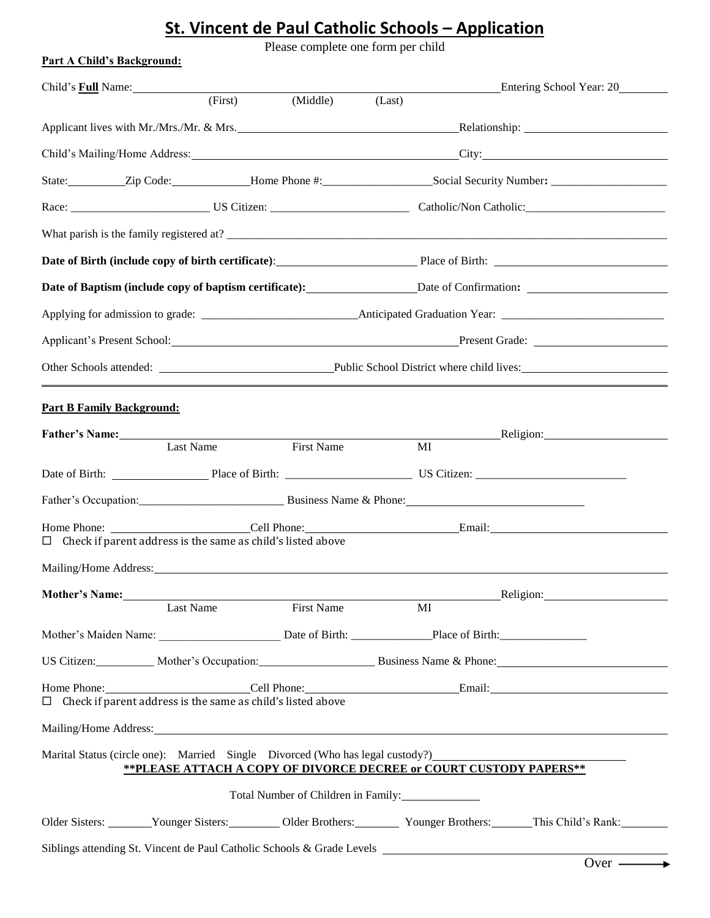## **St. Vincent de Paul Catholic Schools – Application**

Please complete one form per child

| <b>Part A Child's Background:</b>                                                                              |                                                                    |                   |                                                                                                                                                                                                                                |                                                                                      |  |
|----------------------------------------------------------------------------------------------------------------|--------------------------------------------------------------------|-------------------|--------------------------------------------------------------------------------------------------------------------------------------------------------------------------------------------------------------------------------|--------------------------------------------------------------------------------------|--|
| Child's <b>Full</b> Name:                                                                                      | (First)                                                            | (Middle)          | (Last)                                                                                                                                                                                                                         | Entering School Year: 20                                                             |  |
|                                                                                                                |                                                                    |                   |                                                                                                                                                                                                                                | Applicant lives with Mr./Mrs./Mr. & Mrs. Communications and Relationship:            |  |
|                                                                                                                |                                                                    |                   |                                                                                                                                                                                                                                | Child's Mailing/Home Address: City: City:                                            |  |
|                                                                                                                |                                                                    |                   |                                                                                                                                                                                                                                | State: Zip Code: Home Phone #: Social Security Number: __________________________    |  |
|                                                                                                                |                                                                    |                   |                                                                                                                                                                                                                                |                                                                                      |  |
|                                                                                                                |                                                                    |                   |                                                                                                                                                                                                                                | What parish is the family registered at?                                             |  |
|                                                                                                                |                                                                    |                   | Date of Birth (include copy of birth certificate): Place of Birth: Place of Birth:                                                                                                                                             |                                                                                      |  |
| Date of Baptism (include copy of baptism certificate): Date of Confirmation: _________________________________ |                                                                    |                   |                                                                                                                                                                                                                                |                                                                                      |  |
|                                                                                                                |                                                                    |                   |                                                                                                                                                                                                                                |                                                                                      |  |
|                                                                                                                |                                                                    |                   |                                                                                                                                                                                                                                | Applicant's Present School: Present Grade: Present Grade:                            |  |
|                                                                                                                |                                                                    |                   |                                                                                                                                                                                                                                |                                                                                      |  |
| <b>Part B Family Background:</b>                                                                               |                                                                    |                   |                                                                                                                                                                                                                                |                                                                                      |  |
|                                                                                                                |                                                                    |                   |                                                                                                                                                                                                                                | <b>Example 2018</b> Religion:                                                        |  |
|                                                                                                                | Last Name                                                          | First Name        | MI                                                                                                                                                                                                                             |                                                                                      |  |
|                                                                                                                |                                                                    |                   | Date of Birth: Place of Birth: Place of Birth: US Citizen:                                                                                                                                                                     |                                                                                      |  |
|                                                                                                                |                                                                    |                   |                                                                                                                                                                                                                                |                                                                                      |  |
|                                                                                                                | $\Box$ Check if parent address is the same as child's listed above |                   |                                                                                                                                                                                                                                |                                                                                      |  |
| Mailing/Home Address:                                                                                          |                                                                    |                   |                                                                                                                                                                                                                                |                                                                                      |  |
|                                                                                                                | Mother's Name: Manual Mathematics Name:                            |                   |                                                                                                                                                                                                                                | <b>Religion:</b>                                                                     |  |
|                                                                                                                | Last Name                                                          | <b>First Name</b> | MI                                                                                                                                                                                                                             |                                                                                      |  |
|                                                                                                                |                                                                    |                   |                                                                                                                                                                                                                                |                                                                                      |  |
|                                                                                                                |                                                                    |                   |                                                                                                                                                                                                                                | US Citizen: Mother's Occupation: Business Name & Phone:                              |  |
|                                                                                                                | $\Box$ Check if parent address is the same as child's listed above |                   |                                                                                                                                                                                                                                |                                                                                      |  |
|                                                                                                                |                                                                    |                   | Mailing/Home Address: Universe of the Second Second Second Second Second Second Second Second Second Second Second Second Second Second Second Second Second Second Second Second Second Second Second Second Second Second Se |                                                                                      |  |
|                                                                                                                |                                                                    |                   | Marital Status (circle one): Married Single Divorced (Who has legal custody?)<br>** PLEASE ATTACH A COPY OF DIVORCE DECREE or COURT CUSTODY PAPERS**                                                                           |                                                                                      |  |
|                                                                                                                |                                                                    |                   | Total Number of Children in Family:                                                                                                                                                                                            |                                                                                      |  |
|                                                                                                                |                                                                    |                   |                                                                                                                                                                                                                                | Older Sisters: Vounger Sisters: Older Brothers: Younger Brothers: This Child's Rank: |  |
|                                                                                                                |                                                                    |                   | Siblings attending St. Vincent de Paul Catholic Schools & Grade Levels _____________________________                                                                                                                           |                                                                                      |  |